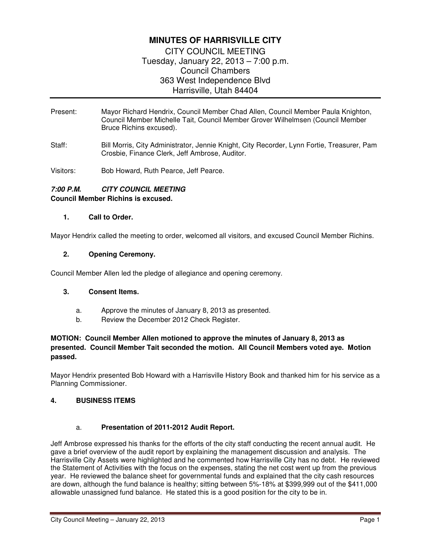# **MINUTES OF HARRISVILLE CITY**

CITY COUNCIL MEETING Tuesday, January 22, 2013 – 7:00 p.m. Council Chambers 363 West Independence Blvd Harrisville, Utah 84404

- Present: Mayor Richard Hendrix, Council Member Chad Allen, Council Member Paula Knighton, Council Member Michelle Tait, Council Member Grover Wilhelmsen (Council Member Bruce Richins excused).
- Staff: Bill Morris, City Administrator, Jennie Knight, City Recorder, Lynn Fortie, Treasurer, Pam Crosbie, Finance Clerk, Jeff Ambrose, Auditor.
- Visitors: Bob Howard, Ruth Pearce, Jeff Pearce.

## **7:00 P.M. CITY COUNCIL MEETING Council Member Richins is excused.**

#### **1. Call to Order.**

Mayor Hendrix called the meeting to order, welcomed all visitors, and excused Council Member Richins.

#### **2. Opening Ceremony.**

Council Member Allen led the pledge of allegiance and opening ceremony.

### **3. Consent Items.**

- a. Approve the minutes of January 8, 2013 as presented.
- b. Review the December 2012 Check Register.

### **MOTION: Council Member Allen motioned to approve the minutes of January 8, 2013 as presented. Council Member Tait seconded the motion. All Council Members voted aye. Motion passed.**

Mayor Hendrix presented Bob Howard with a Harrisville History Book and thanked him for his service as a Planning Commissioner.

### **4. BUSINESS ITEMS**

### a. **Presentation of 2011-2012 Audit Report.**

Jeff Ambrose expressed his thanks for the efforts of the city staff conducting the recent annual audit. He gave a brief overview of the audit report by explaining the management discussion and analysis. The Harrisville City Assets were highlighted and he commented how Harrisville City has no debt. He reviewed the Statement of Activities with the focus on the expenses, stating the net cost went up from the previous year. He reviewed the balance sheet for governmental funds and explained that the city cash resources are down, although the fund balance is healthy; sitting between 5%-18% at \$399,999 out of the \$411,000 allowable unassigned fund balance. He stated this is a good position for the city to be in.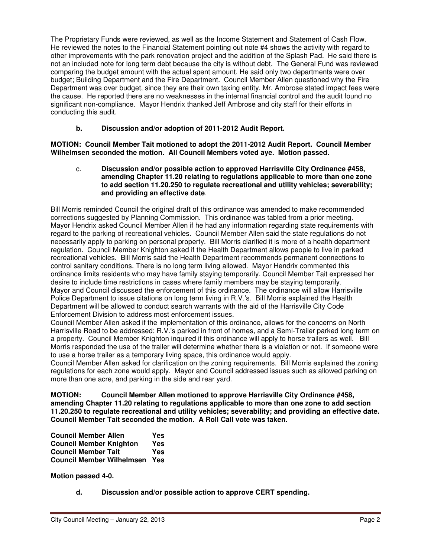The Proprietary Funds were reviewed, as well as the Income Statement and Statement of Cash Flow. He reviewed the notes to the Financial Statement pointing out note #4 shows the activity with regard to other improvements with the park renovation project and the addition of the Splash Pad. He said there is not an included note for long term debt because the city is without debt. The General Fund was reviewed comparing the budget amount with the actual spent amount. He said only two departments were over budget; Building Department and the Fire Department. Council Member Allen questioned why the Fire Department was over budget, since they are their own taxing entity. Mr. Ambrose stated impact fees were the cause. He reported there are no weaknesses in the internal financial control and the audit found no significant non-compliance. Mayor Hendrix thanked Jeff Ambrose and city staff for their efforts in conducting this audit.

### **b. Discussion and/or adoption of 2011-2012 Audit Report.**

**MOTION: Council Member Tait motioned to adopt the 2011-2012 Audit Report. Council Member Wilhelmsen seconded the motion. All Council Members voted aye. Motion passed.** 

c. **Discussion and/or possible action to approved Harrisville City Ordinance #458, amending Chapter 11.20 relating to regulations applicable to more than one zone to add section 11.20.250 to regulate recreational and utility vehicles; severability; and providing an effective date**.

Bill Morris reminded Council the original draft of this ordinance was amended to make recommended corrections suggested by Planning Commission. This ordinance was tabled from a prior meeting. Mayor Hendrix asked Council Member Allen if he had any information regarding state requirements with regard to the parking of recreational vehicles. Council Member Allen said the state regulations do not necessarily apply to parking on personal property. Bill Morris clarified it is more of a health department regulation. Council Member Knighton asked if the Health Department allows people to live in parked recreational vehicles. Bill Morris said the Health Department recommends permanent connections to control sanitary conditions. There is no long term living allowed. Mayor Hendrix commented this ordinance limits residents who may have family staying temporarily. Council Member Tait expressed her desire to include time restrictions in cases where family members may be staying temporarily. Mayor and Council discussed the enforcement of this ordinance. The ordinance will allow Harrisville Police Department to issue citations on long term living in R.V.'s. Bill Morris explained the Health Department will be allowed to conduct search warrants with the aid of the Harrisville City Code Enforcement Division to address most enforcement issues.

Council Member Allen asked if the implementation of this ordinance, allows for the concerns on North Harrisville Road to be addressed; R.V.'s parked in front of homes, and a Semi-Trailer parked long term on a property. Council Member Knighton inquired if this ordinance will apply to horse trailers as well. Bill Morris responded the use of the trailer will determine whether there is a violation or not. If someone were to use a horse trailer as a temporary living space, this ordinance would apply.

Council Member Allen asked for clarification on the zoning requirements. Bill Morris explained the zoning regulations for each zone would apply. Mayor and Council addressed issues such as allowed parking on more than one acre, and parking in the side and rear yard.

**MOTION: Council Member Allen motioned to approve Harrisville City Ordinance #458, amending Chapter 11.20 relating to regulations applicable to more than one zone to add section 11.20.250 to regulate recreational and utility vehicles; severability; and providing an effective date. Council Member Tait seconded the motion. A Roll Call vote was taken.** 

**Council Member Allen Yes Council Member Knighton Yes Council Member Tait Yes Council Member Wilhelmsen Yes** 

**Motion passed 4-0.** 

**d. Discussion and/or possible action to approve CERT spending.**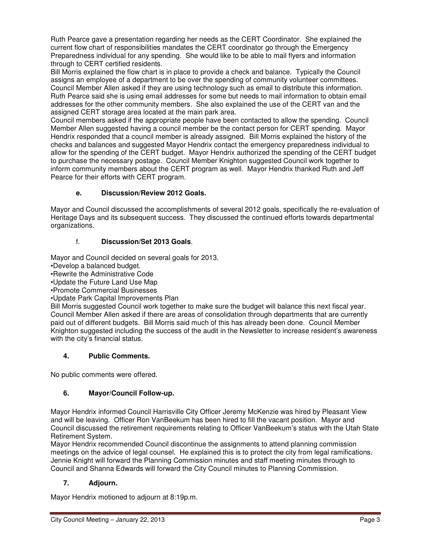Ruth Pearce gave a presentation regarding her needs as the CERT Coordinator. She explained the current flow chart of responsibilities mandates the CERT coordinator go through the Emergency Preparedness individual for any spending. She would like to be able to mail flyers and information through to CERT certified residents.

Bill Morris explained the flow chart is in place to provide a check and balance. Typically the Council assigns an employee of a department to be over the spending of community volunteer committees. Council Member Allen asked if they are using technology such as email to distribute this information. Ruth Pearce said she is using email addresses for some but needs to mail information to obtain email addresses for the other community members. She also explained the use of the CERT van and the assigned CERT storage area located at the main park area.

Council members asked if the appropriate people have been contacted to allow the spending. Council Member Allen suggested having a council member be the contact person for CERT spending. Mayor Hendrix responded that a council member is already assigned. Bill Morris explained the history of the checks and balances and suggested Mayor Hendrix contact the emergency preparedness individual to allow for the spending of the CERT budget. Mayor Hendrix authorized the spending of the CERT budget to purchase the necessary postage. Council Member Knighton suggested Council work together to inform community members about the CERT program as well. Mayor Hendrix thanked Ruth and Jeff Pearce for their efforts with CERT program.

## **e. Discussion/Review 2012 Goals.**

Mayor and Council discussed the accomplishments of several 2012 goals, specifically the re-evaluation of Heritage Days and its subsequent success. They discussed the continued efforts towards departmental organizations.

## f. **Discussion/Set 2013 Goals**.

Mayor and Council decided on several goals for 2013.

•Develop a balanced budget.

•Rewrite the Administrative Code

•Update the Future Land Use Map

•Promote Commercial Businesses

•Update Park Capital Improvements Plan

Bill Morris suggested Council work together to make sure the budget will balance this next fiscal year. Council Member Allen asked if there are areas of consolidation through departments that are currently paid out of different budgets. Bill Morris said much of this has already been done. Council Member Knighton suggested including the success of the audit in the Newsletter to increase resident's awareness with the city's financial status.

## **4. Public Comments.**

No public comments were offered.

## **6. Mayor/Council Follow-up.**

Mayor Hendrix informed Council Harrisville City Officer Jeremy McKenzie was hired by Pleasant View and will be leaving. Officer Ron VanBeekum has been hired to fill the vacant position. Mayor and Council discussed the retirement requirements relating to Officer VanBeekum's status with the Utah State Retirement System.

Mayor Hendrix recommended Council discontinue the assignments to attend planning commission meetings on the advice of legal counsel. He explained this is to protect the city from legal ramifications. Jennie Knight will forward the Planning Commission minutes and staff meeting minutes through to Council and Shanna Edwards will forward the City Council minutes to Planning Commission.

### **7. Adjourn.**

Mayor Hendrix motioned to adjourn at 8:19p.m.